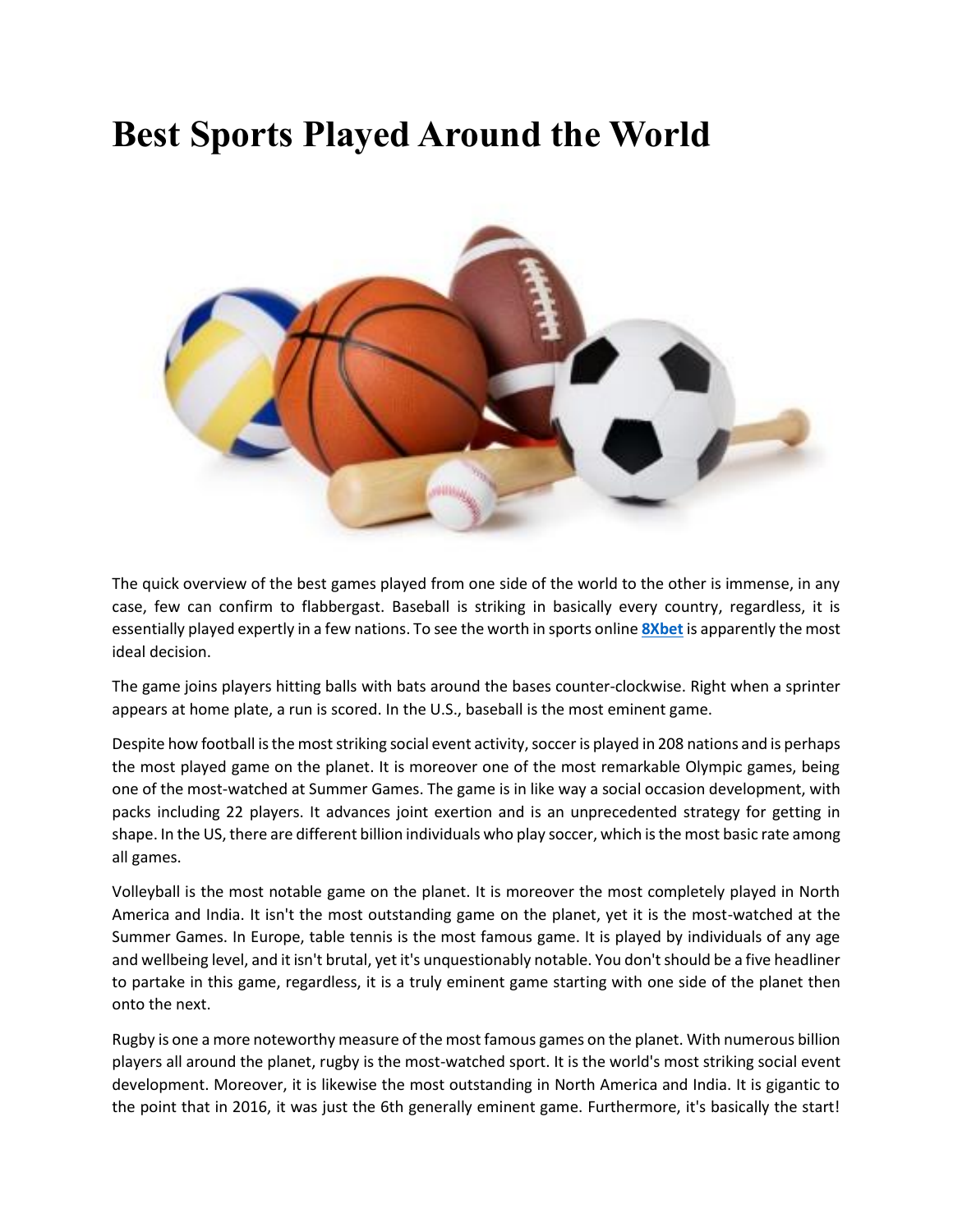## **Best Sports Played Around the World**



The quick overview of the best games played from one side of the world to the other is immense, in any case, few can confirm to flabbergast. Baseball is striking in basically every country, regardless, it is essentially played expertly in a few nations. To see the worth in sports online **[8Xbet](https://8xbet.win/)** is apparently the most ideal decision.

The game joins players hitting balls with bats around the bases counter-clockwise. Right when a sprinter appears at home plate, a run is scored. In the U.S., baseball is the most eminent game.

Despite how football is the most striking social event activity, soccer is played in 208 nations and is perhaps the most played game on the planet. It is moreover one of the most remarkable Olympic games, being one of the most-watched at Summer Games. The game is in like way a social occasion development, with packs including 22 players. It advances joint exertion and is an unprecedented strategy for getting in shape. In the US, there are different billion individuals who play soccer, which is the most basic rate among all games.

Volleyball is the most notable game on the planet. It is moreover the most completely played in North America and India. It isn't the most outstanding game on the planet, yet it is the most-watched at the Summer Games. In Europe, table tennis is the most famous game. It is played by individuals of any age and wellbeing level, and it isn't brutal, yet it's unquestionably notable. You don't should be a five headliner to partake in this game, regardless, it is a truly eminent game starting with one side of the planet then onto the next.

Rugby is one a more noteworthy measure of the most famous games on the planet. With numerous billion players all around the planet, rugby is the most-watched sport. It is the world's most striking social event development. Moreover, it is likewise the most outstanding in North America and India. It is gigantic to the point that in 2016, it was just the 6th generally eminent game. Furthermore, it's basically the start!